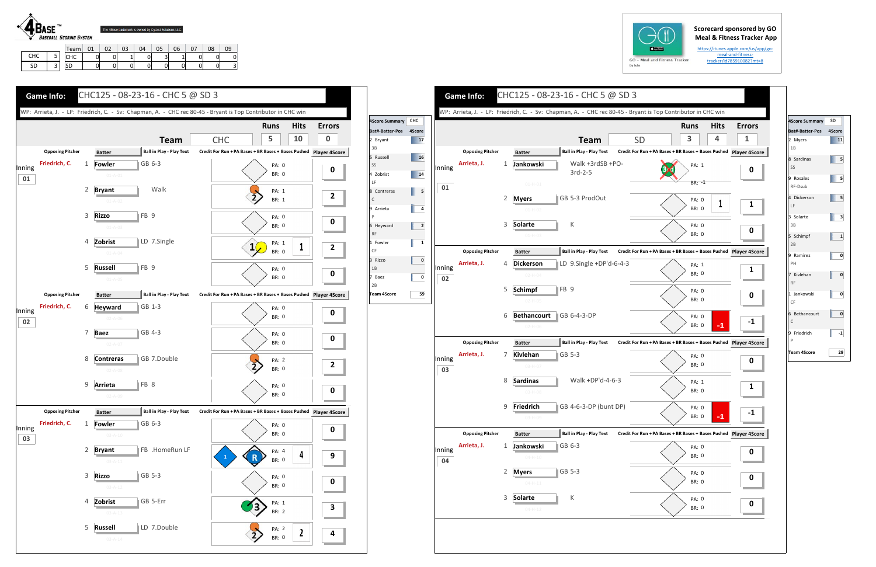## **Scorecard sponsored by GO Meal & Fitness Tracker App**

https://itunes.apple.com/us/app/go‐ meal-and-fitnesstracker/id785910082?mt=8



| $GO - M$<br>By Iolo |  |
|---------------------|--|





**Team**

Walk +3rdSB +PO‐

3rd‐2‐5

K

FB 9

**SGB** 5-3



Walk +DP'd‐4‐6‐3

K

| 4Score Summary  | SD     |
|-----------------|--------|
| Bat#-Batter-Pos | 4Score |
| 2 Myers         | 11     |
| 1B              |        |
| 8 Sardinas      | 5      |
| SS              |        |
| 9 Rosales       | 5      |
| RF-Dsub         |        |
| 4 Dickerson     | 5      |
| LF              |        |
| 3 Solarte       | з      |
| 3B              |        |
| 5 Schimpf       | 1      |
| 2B              |        |
| 9 Ramirez       | 0      |
| PH              |        |
| 7 Kivlehan      | 0      |
| <b>RF</b>       |        |
| 1 Jankowski     | 0      |
| CF              |        |
| 6 Bethancourt   | 0      |
| $\mathsf{C}$    |        |
| 9 Friedrich     | -1     |
| $\mathsf{P}$    |        |
| Team 4Score     | 29     |
|                 |        |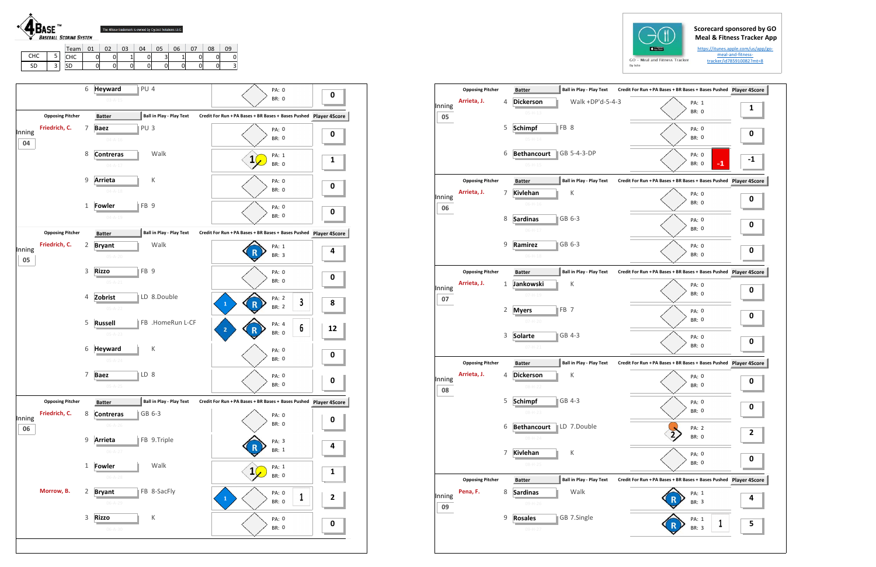## **Scorecard sponsored by GO Meal & Fitness Tracker App**

https://itunes.apple.com/us/app/go‐ meal‐and‐fitness‐ tracker/id785910082?mt=8



SD 3

SD | 0 | 0 | 0 | 0 | 0 | 0 | 0 | 3

| <b>Opposing Pitcher</b> |   | <b>Ball in Play - Play Text</b><br><b>Batter</b>   |                                                                                                                                          |                               |                                                                                                                                                                                                                                                                                                                         |
|-------------------------|---|----------------------------------------------------|------------------------------------------------------------------------------------------------------------------------------------------|-------------------------------|-------------------------------------------------------------------------------------------------------------------------------------------------------------------------------------------------------------------------------------------------------------------------------------------------------------------------|
| Arrieta, J.             | 4 | <b>Dickerson</b><br>$05-H-13$                      |                                                                                                                                          | PA: 1<br><b>BR: 0</b>         | 1                                                                                                                                                                                                                                                                                                                       |
|                         | 5 | FB 8<br><b>Schimpf</b><br>$05 - H - 14$            |                                                                                                                                          | PA: 0<br><b>BR: 0</b>         | 0                                                                                                                                                                                                                                                                                                                       |
|                         | 6 | GB 5-4-3-DP<br><b>Bethancourt</b><br>$05 - H - 15$ |                                                                                                                                          | PA: 0<br>$-1$<br><b>BR: 0</b> |                                                                                                                                                                                                                                                                                                                         |
| <b>Opposing Pitcher</b> |   | <b>Batter</b>                                      |                                                                                                                                          |                               | Player 4S                                                                                                                                                                                                                                                                                                               |
| Arrieta, J.             | 7 | К<br><b>Kivlehan</b><br>$06-H-16$                  |                                                                                                                                          | PA: 0<br><b>BR: 0</b>         | 0                                                                                                                                                                                                                                                                                                                       |
|                         | 8 | <b>Sardinas</b><br>GB 6-3<br>$06-H-17$             |                                                                                                                                          | PA: 0<br><b>BR: 0</b>         | 0                                                                                                                                                                                                                                                                                                                       |
|                         | 9 | Ramirez<br>GB 6-3<br>$06-H-18$                     |                                                                                                                                          | PA: 0<br><b>BR: 0</b>         | 0                                                                                                                                                                                                                                                                                                                       |
| <b>Opposing Pitcher</b> |   | <b>Batter</b>                                      |                                                                                                                                          |                               |                                                                                                                                                                                                                                                                                                                         |
| Arrieta, J.             | 1 | Κ<br>Jankowski<br>$07 - H - 19$                    |                                                                                                                                          | PA: 0<br><b>BR: 0</b>         | 0                                                                                                                                                                                                                                                                                                                       |
|                         | 2 | FB <sub>7</sub><br><b>Myers</b><br>$07 - H - 20$   |                                                                                                                                          | PA: 0<br><b>BR: 0</b>         | 0                                                                                                                                                                                                                                                                                                                       |
|                         | 3 | GB 4-3<br><b>Solarte</b><br>$07 - H - 21$          |                                                                                                                                          | PA: 0<br><b>BR: 0</b>         | 0                                                                                                                                                                                                                                                                                                                       |
| <b>Opposing Pitcher</b> |   | <b>Batter</b>                                      |                                                                                                                                          |                               |                                                                                                                                                                                                                                                                                                                         |
| Arrieta, J.             | 4 | Κ<br><b>Dickerson</b><br>$08 - H - 22$             |                                                                                                                                          | PA: 0<br><b>BR: 0</b>         | 0                                                                                                                                                                                                                                                                                                                       |
|                         | 5 | GB 4-3<br><b>Schimpf</b><br>$08 - H - 23$          |                                                                                                                                          | PA: 0<br><b>BR: 0</b>         | ŋ                                                                                                                                                                                                                                                                                                                       |
|                         | 6 | LD 7.Double<br><b>Bethancourt</b><br>$08 - H - 24$ |                                                                                                                                          | PA: 2<br><b>BR: 0</b>         | 2                                                                                                                                                                                                                                                                                                                       |
|                         | 7 | <b>Kivlehan</b><br>К<br>$08-H-25$                  |                                                                                                                                          | PA: 0<br>BR: 0                | 0                                                                                                                                                                                                                                                                                                                       |
| <b>Opposing Pitcher</b> |   | <b>Batter</b>                                      |                                                                                                                                          |                               |                                                                                                                                                                                                                                                                                                                         |
| Pena, F.                | 8 | Walk<br><b>Sardinas</b><br>09-H-26                 |                                                                                                                                          | PA: 1<br>BR: 3                | 4                                                                                                                                                                                                                                                                                                                       |
|                         | 9 | GB 7.Single<br><b>Rosales</b>                      |                                                                                                                                          | PA: 1<br>1                    | 5                                                                                                                                                                                                                                                                                                                       |
|                         |   |                                                    | <b>Ball in Play - Play Text</b><br><b>Ball in Play - Play Text</b><br><b>Ball in Play - Play Text</b><br><b>Ball in Play - Play Text</b> | Walk +DP'd-5-4-3              | Credit For Run + PA Bases + BR Bases + Bases Pushed Player 4S<br>Credit For Run + PA Bases + BR Bases + Bases Pushed<br>Credit For Run + PA Bases + BR Bases + Bases Pushed Player 4S<br>Credit For Run + PA Bases + BR Bases + Bases Pushed Player 4S<br>Credit For Run + PA Bases + BR Bases + Bases Pushed Player 4S |

|        |                         | 6              |                                | PU <sub>4</sub> |                                 |                                                                      |                       |          |
|--------|-------------------------|----------------|--------------------------------|-----------------|---------------------------------|----------------------------------------------------------------------|-----------------------|----------|
|        |                         |                | <b>Heyward</b>                 |                 |                                 |                                                                      | PA: 0<br><b>BR: 0</b> | $\bf{0}$ |
|        |                         |                | $03 - A - 15$                  |                 |                                 |                                                                      |                       |          |
|        | <b>Opposing Pitcher</b> |                | <b>Batter</b>                  |                 | <b>Ball in Play - Play Text</b> | Credit For Run + PA Bases + BR Bases + Bases Pushed Player 4Score    |                       |          |
| Inning | Friedrich, C.           | 7              | <b>Baez</b>                    | PU <sub>3</sub> |                                 |                                                                      | PA: 0                 | 0        |
| 04     |                         |                | $04 - A - 16$                  |                 |                                 |                                                                      | <b>BR: 0</b>          |          |
|        |                         | 8              | <b>Contreras</b>               |                 | Walk                            |                                                                      | PA: 1                 |          |
|        |                         |                | $04 - A - 17$                  |                 |                                 | 1                                                                    | <b>BR: 0</b>          | 1        |
|        |                         | 9              | Arrieta                        |                 | К                               |                                                                      | PA: 0                 |          |
|        |                         |                | $04 - A - 18$                  |                 |                                 |                                                                      | <b>BR: 0</b>          | 0        |
|        |                         |                |                                | FB <sub>9</sub> |                                 |                                                                      |                       |          |
|        |                         | 1              | <b>Fowler</b><br>$04 - A - 19$ |                 |                                 |                                                                      | PA: 0<br><b>BR: 0</b> | 0        |
|        |                         |                |                                |                 |                                 |                                                                      |                       |          |
|        | <b>Opposing Pitcher</b> |                | <b>Batter</b>                  |                 | Ball in Play - Play Text        | Credit For Run + PA Bases + BR Bases + Bases Pushed Player 4Score    |                       |          |
| Inning | Friedrich, C.           | 2              | <b>Bryant</b>                  |                 | Walk                            |                                                                      | PA: 1                 | 4        |
| 05     |                         |                | $05 - A - 20$                  |                 |                                 |                                                                      | <b>BR: 3</b>          |          |
|        |                         | 3              | <b>Rizzo</b>                   | FB <sub>9</sub> |                                 |                                                                      | PA: 0                 |          |
|        |                         |                | $05 - A - 21$                  |                 |                                 |                                                                      | BR: 0                 | 0        |
|        |                         | 4              | Zobrist                        |                 | LD 8.Double                     |                                                                      | PA: 2                 |          |
|        |                         |                | $05 - A - 22$                  |                 |                                 | 1                                                                    | 3<br><b>BR: 2</b>     | 8        |
|        |                         | 5              | <b>Russell</b>                 |                 | FB .HomeRun L-CF                |                                                                      | PA: 4                 |          |
|        |                         |                | $05 - A - 23$                  |                 |                                 | 2                                                                    | 6<br><b>BR: 0</b>     | 12       |
|        |                         | 6              | <b>Heyward</b>                 |                 | К                               |                                                                      |                       |          |
|        |                         |                | $05 - A - 24$                  |                 |                                 |                                                                      | PA: 0<br><b>BR: 0</b> | 0        |
|        |                         |                |                                |                 |                                 |                                                                      |                       |          |
|        |                         | 7              | <b>Baez</b>                    | LD 8            |                                 |                                                                      | PA: 0<br><b>BR: 0</b> | 0        |
|        |                         |                | $05 - A - 25$                  |                 |                                 |                                                                      |                       |          |
|        | <b>Opposing Pitcher</b> |                | <b>Batter</b>                  | Ф.              | Ball in Play - Play Text        | Credit For Run + PA Bases + BR Bases + Bases Pushed    Player 4Score |                       |          |
| Inning | Friedrich, C.           | 8              | <b>Contreras</b>               |                 | GB 6-3                          |                                                                      | PA: 0                 | 0        |
| 06     |                         |                | $06 - A - 26$                  |                 |                                 |                                                                      | BR: 0                 |          |
|        |                         | $\mathsf g$    | Arrieta                        |                 | FB 9.Triple                     |                                                                      | PA: 3                 |          |
|        |                         |                | $06 - A - 27$                  |                 |                                 |                                                                      | BR: 1                 | 4        |
|        |                         | 1              | <b>Fowler</b>                  |                 | Walk                            |                                                                      | PA: 1                 |          |
|        |                         |                | $06 - A - 28$                  |                 |                                 | $\mathbf{1}$                                                         | BR: 0                 | 1        |
|        | Morrow, B.              | $\overline{2}$ | <b>Bryant</b>                  |                 | FB 8-SacFly                     |                                                                      |                       |          |
|        |                         |                | $06 - A - 29$                  |                 |                                 | $\mathbf{1}$                                                         | PA: 0<br>1<br>BR: 0   | 2        |
|        |                         |                |                                |                 |                                 |                                                                      |                       |          |
|        |                         | 3              | <b>Rizzo</b>                   |                 | $\sf K$                         |                                                                      | PA: 0                 | $\bf{0}$ |
|        |                         |                | $06 - A - 30$                  |                 |                                 |                                                                      | <b>BR: 0</b>          |          |